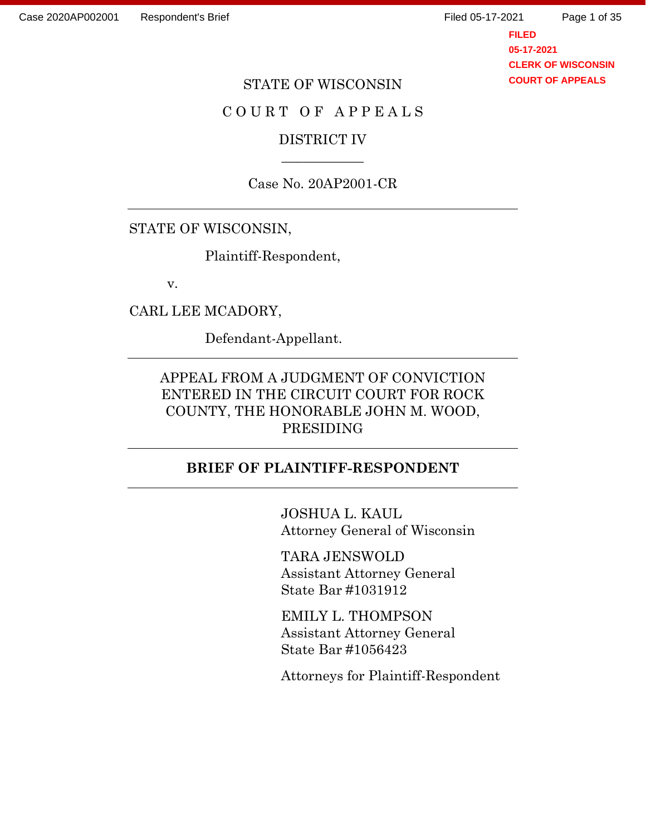Page 1 of 35

**FILED 05-17-2021 CLERK OF WISCONSIN COURT OF APPEALS**

#### STATE OF WISCONSIN

### COURT OF APPEALS

### DISTRICT IV \_\_\_\_\_\_\_\_\_\_\_\_

Case No. 20AP2001-CR

### STATE OF WISCONSIN,

Plaintiff-Respondent,

v.

CARL LEE MCADORY,

Defendant-Appellant.

### APPEAL FROM A JUDGMENT OF CONVICTION ENTERED IN THE CIRCUIT COURT FOR ROCK COUNTY, THE HONORABLE JOHN M. WOOD, PRESIDING

#### **BRIEF OF PLAINTIFF-RESPONDENT**

JOSHUA L. KAUL Attorney General of Wisconsin

TARA JENSWOLD Assistant Attorney General State Bar #1031912

EMILY L. THOMPSON Assistant Attorney General State Bar #1056423

Attorneys for Plaintiff-Respondent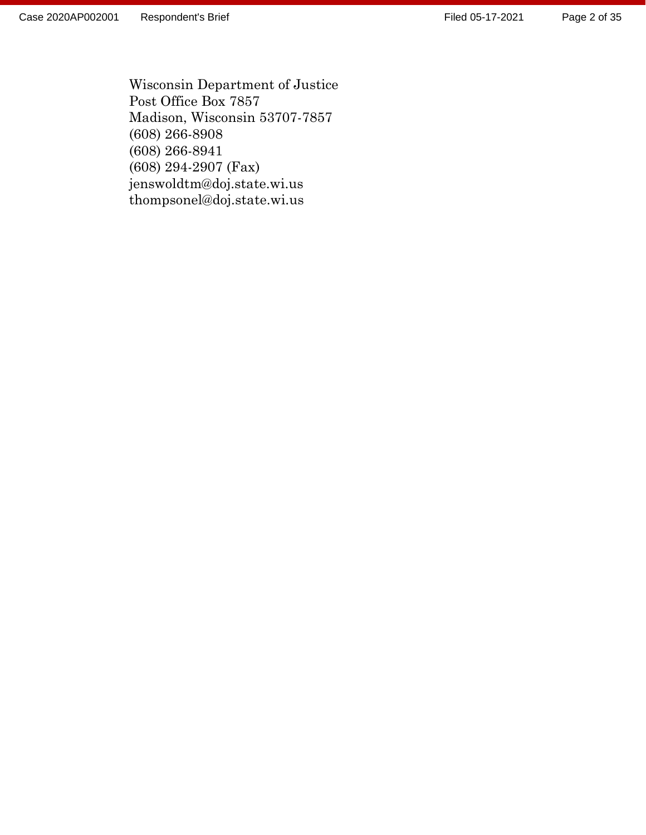Wisconsin Department of Justice Post Office Box 7857 Madison, Wisconsin 53707 -7857 (608) 266 -8908 (608) 266 -8941 (608) 294 -2907 (Fax) jenswoldtm@doj.state.wi.us thompsonel@doj.state.wi.us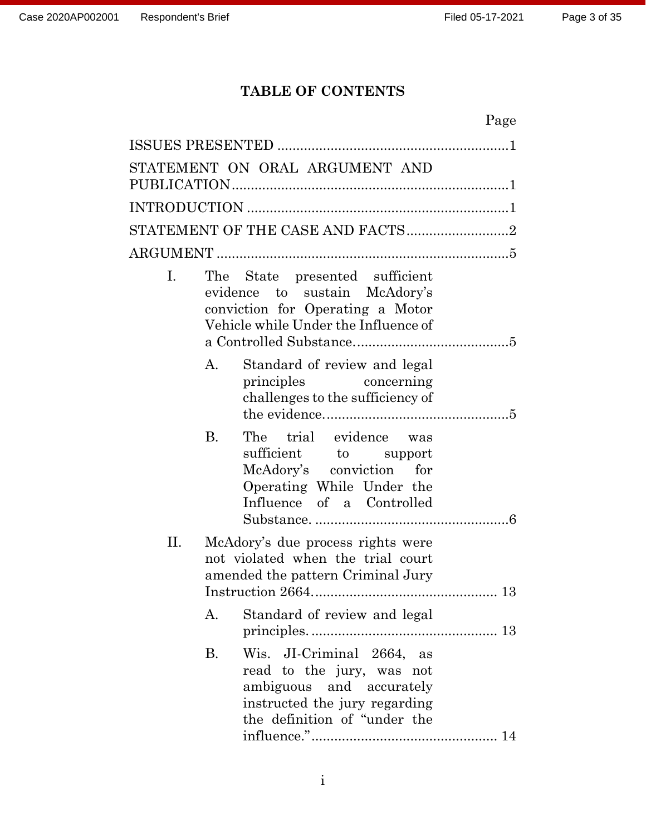# **TABLE OF CONTENTS**

|                |           |                                                                                                                                                        | Page |
|----------------|-----------|--------------------------------------------------------------------------------------------------------------------------------------------------------|------|
|                |           |                                                                                                                                                        |      |
|                |           | STATEMENT ON ORAL ARGUMENT AND                                                                                                                         |      |
|                |           |                                                                                                                                                        |      |
|                |           |                                                                                                                                                        |      |
|                |           |                                                                                                                                                        |      |
| $\mathbf{I}$ . |           | The State presented sufficient<br>evidence to sustain McAdory's<br>conviction for Operating a Motor<br>Vehicle while Under the Influence of            |      |
|                | A.        | Standard of review and legal<br>principles concerning<br>challenges to the sufficiency of                                                              |      |
|                | <b>B.</b> | The trial evidence was<br>sufficient to support<br>McAdory's conviction for<br>Operating While Under the<br>Influence of a Controlled                  |      |
| П.             |           | McAdory's due process rights were<br>not violated when the trial court<br>amended the pattern Criminal Jury                                            |      |
|                | А.        | Standard of review and legal                                                                                                                           |      |
|                | <b>B.</b> | Wis. JI-Criminal 2664,<br>as<br>read to the jury, was not<br>ambiguous and accurately<br>instructed the jury regarding<br>the definition of "under the |      |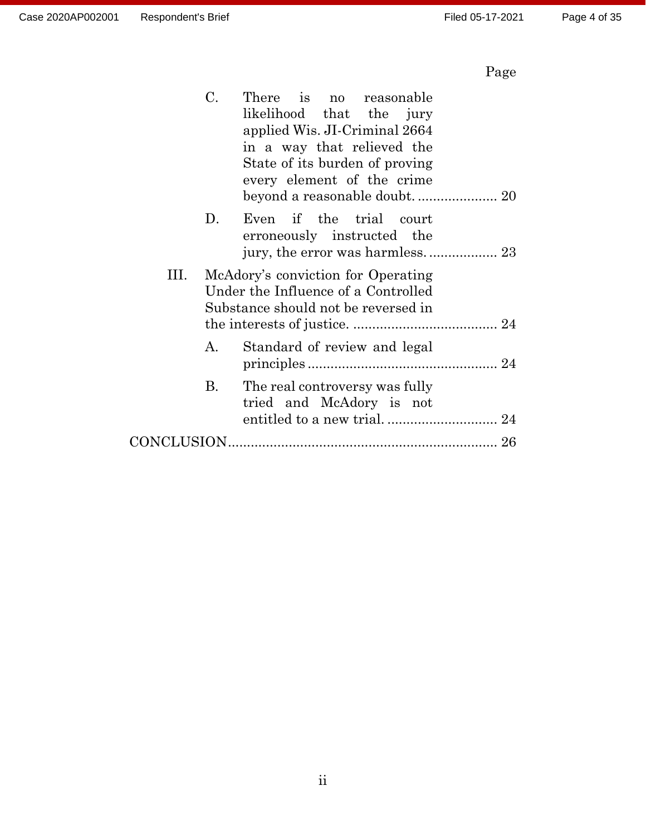# Page

|    | C.<br>There is no reasonable<br>likelihood that the jury<br>applied Wis. JI-Criminal 2664<br>in a way that relieved the<br>State of its burden of proving<br>every element of the crime |
|----|-----------------------------------------------------------------------------------------------------------------------------------------------------------------------------------------|
|    | D.<br>Even if the trial court<br>erroneously instructed the                                                                                                                             |
| Ш. | McAdory's conviction for Operating<br>Under the Influence of a Controlled<br>Substance should not be reversed in                                                                        |
|    | Standard of review and legal<br>А.                                                                                                                                                      |
|    | B.<br>The real controversy was fully<br>tried and McAdory is not                                                                                                                        |
|    |                                                                                                                                                                                         |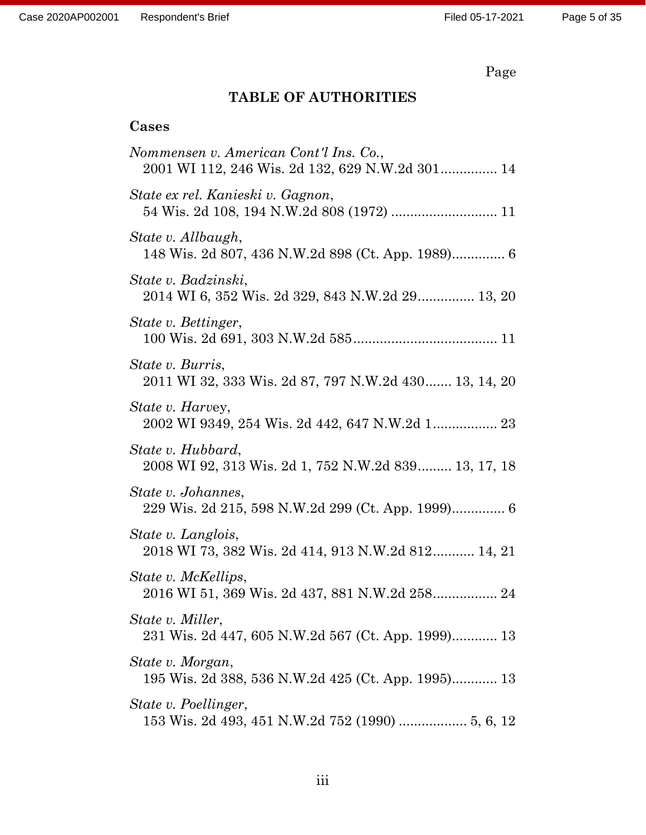Page

## **TABLE OF AUTHORITIES**

## **Cases**

| Nommensen v. American Cont'l Ins. Co.,<br>2001 WI 112, 246 Wis. 2d 132, 629 N.W.2d 301 14 |
|-------------------------------------------------------------------------------------------|
| State ex rel. Kanieski v. Gagnon,                                                         |
| State v. Allbaugh,                                                                        |
| State v. Badzinski,<br>2014 WI 6, 352 Wis. 2d 329, 843 N.W.2d 29 13, 20                   |
| State v. Bettinger,                                                                       |
| State v. Burris,<br>2011 WI 32, 333 Wis. 2d 87, 797 N.W.2d 430 13, 14, 20                 |
| <i>State v. Harvey,</i>                                                                   |
| State v. Hubbard,<br>2008 WI 92, 313 Wis. 2d 1, 752 N.W.2d 839 13, 17, 18                 |
| State v. Johannes,                                                                        |
| State v. Langlois,<br>2018 WI 73, 382 Wis. 2d 414, 913 N.W.2d 812 14, 21                  |
| State v. McKellips,<br>2016 WI 51, 369 Wis. 2d 437, 881 N.W.2d 258 24                     |
| State v. Miller,<br>231 Wis. 2d 447, 605 N.W.2d 567 (Ct. App. 1999) 13                    |
| State v. Morgan,<br>195 Wis. 2d 388, 536 N.W.2d 425 (Ct. App. 1995) 13                    |
| State v. Poellinger,                                                                      |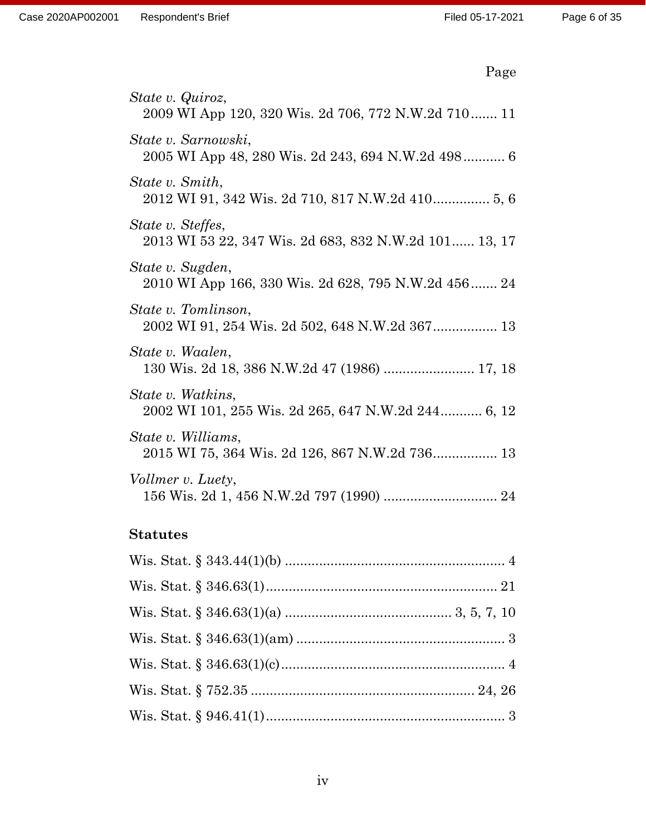| age |
|-----|
|-----|

| State v. Quiroz,<br>2009 WI App 120, 320 Wis. 2d 706, 772 N.W.2d 710 11    |
|----------------------------------------------------------------------------|
| State v. Sarnowski,<br>2005 WI App 48, 280 Wis. 2d 243, 694 N.W.2d 498 6   |
| State v. Smith,                                                            |
| State v. Steffes,<br>2013 WI 53 22, 347 Wis. 2d 683, 832 N.W.2d 101 13, 17 |
| State v. Sugden,<br>2010 WI App 166, 330 Wis. 2d 628, 795 N.W.2d 456 24    |
| State v. Tomlinson,<br>2002 WI 91, 254 Wis. 2d 502, 648 N.W.2d 367 13      |
| State v. Waalen,<br>130 Wis. 2d 18, 386 N.W.2d 47 (1986)  17, 18           |
| State v. Watkins,<br>2002 WI 101, 255 Wis. 2d 265, 647 N.W.2d 244 6, 12    |
| State v. Williams,<br>2015 WI 75, 364 Wis. 2d 126, 867 N.W.2d 736 13       |
| Vollmer v. Luety,                                                          |

## **Statutes**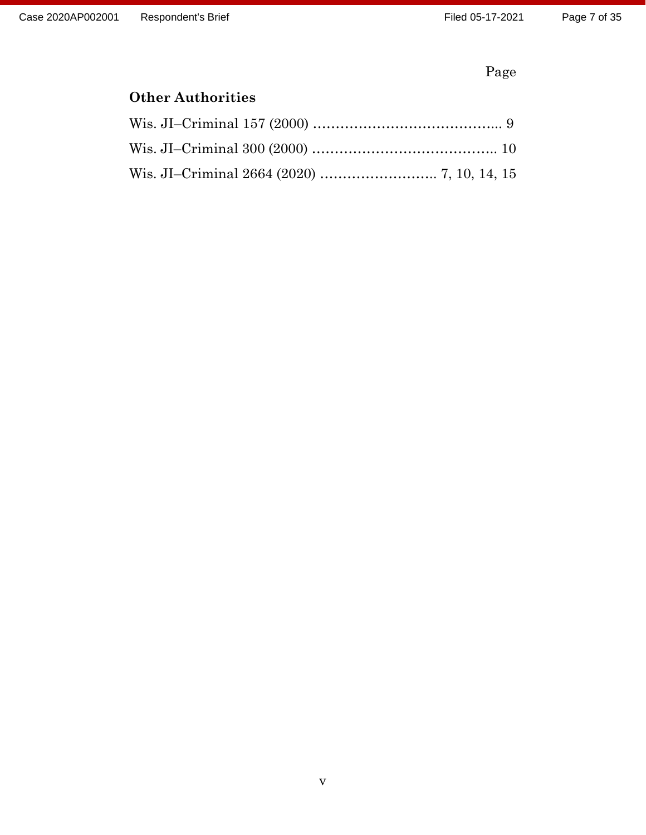Page

# **Other Authorities**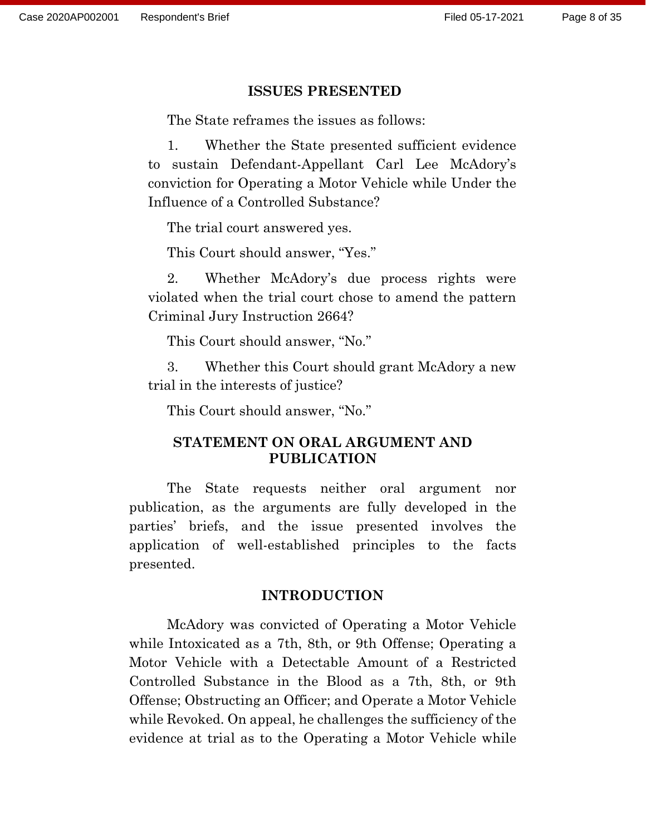#### **ISSUES PRESENTED**

The State reframes the issues as follows:

1. Whether the State presented sufficient evidence to sustain Defendant-Appellant Carl Lee McAdory's conviction for Operating a Motor Vehicle while Under the Influence of a Controlled Substance?

The trial court answered yes.

This Court should answer, "Yes."

2. Whether McAdory's due process rights were violated when the trial court chose to amend the pattern Criminal Jury Instruction 2664?

This Court should answer, "No."

3. Whether this Court should grant McAdory a new trial in the interests of justice?

This Court should answer, "No."

### **STATEMENT ON ORAL ARGUMENT AND PUBLICATION**

The State requests neither oral argument nor publication, as the arguments are fully developed in the parties' briefs, and the issue presented involves the application of well-established principles to the facts presented.

### **INTRODUCTION**

McAdory was convicted of Operating a Motor Vehicle while Intoxicated as a 7th, 8th, or 9th Offense; Operating a Motor Vehicle with a Detectable Amount of a Restricted Controlled Substance in the Blood as a 7th, 8th, or 9th Offense; Obstructing an Officer; and Operate a Motor Vehicle while Revoked. On appeal, he challenges the sufficiency of the evidence at trial as to the Operating a Motor Vehicle while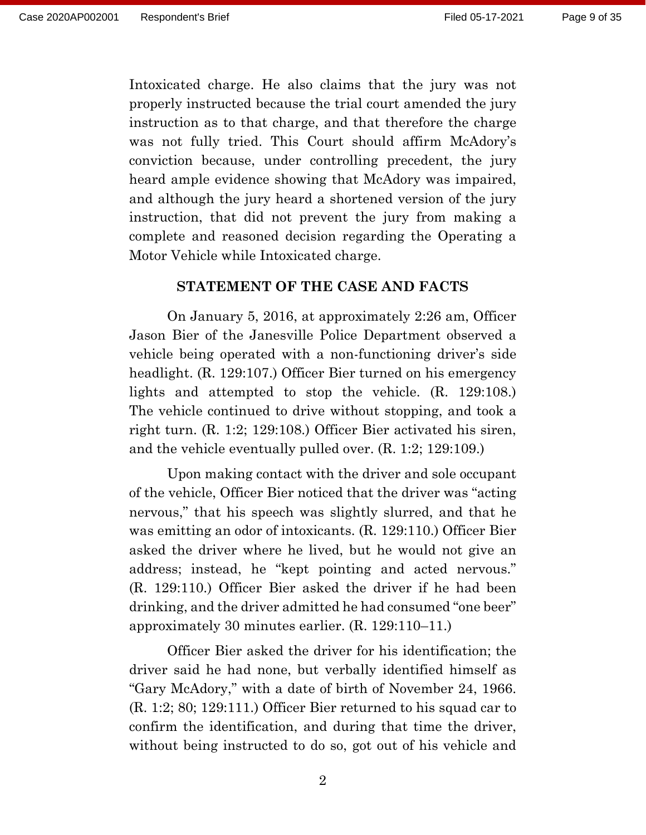Intoxicated charge. He also claims that the jury was not properly instructed because the trial court amended the jury instruction as to that charge, and that therefore the charge was not fully tried. This Court should affirm McAdory's conviction because, under controlling precedent, the jury heard ample evidence showing that McAdory was impaired, and although the jury heard a shortened version of the jury instruction, that did not prevent the jury from making a complete and reasoned decision regarding the Operating a Motor Vehicle while Intoxicated charge.

#### **STATEMENT OF THE CASE AND FACTS**

On January 5, 2016, at approximately 2:26 am, Officer Jason Bier of the Janesville Police Department observed a vehicle being operated with a non-functioning driver's side headlight. (R. 129:107.) Officer Bier turned on his emergency lights and attempted to stop the vehicle. (R. 129:108.) The vehicle continued to drive without stopping, and took a right turn. (R. 1:2; 129:108.) Officer Bier activated his siren, and the vehicle eventually pulled over. (R. 1:2; 129:109.)

Upon making contact with the driver and sole occupant of the vehicle, Officer Bier noticed that the driver was "acting nervous," that his speech was slightly slurred, and that he was emitting an odor of intoxicants. (R. 129:110.) Officer Bier asked the driver where he lived, but he would not give an address; instead, he "kept pointing and acted nervous." (R. 129:110.) Officer Bier asked the driver if he had been drinking, and the driver admitted he had consumed "one beer" approximately 30 minutes earlier. (R. 129:110–11.)

Officer Bier asked the driver for his identification; the driver said he had none, but verbally identified himself as "Gary McAdory," with a date of birth of November 24, 1966. (R. 1:2; 80; 129:111.) Officer Bier returned to his squad car to confirm the identification, and during that time the driver, without being instructed to do so, got out of his vehicle and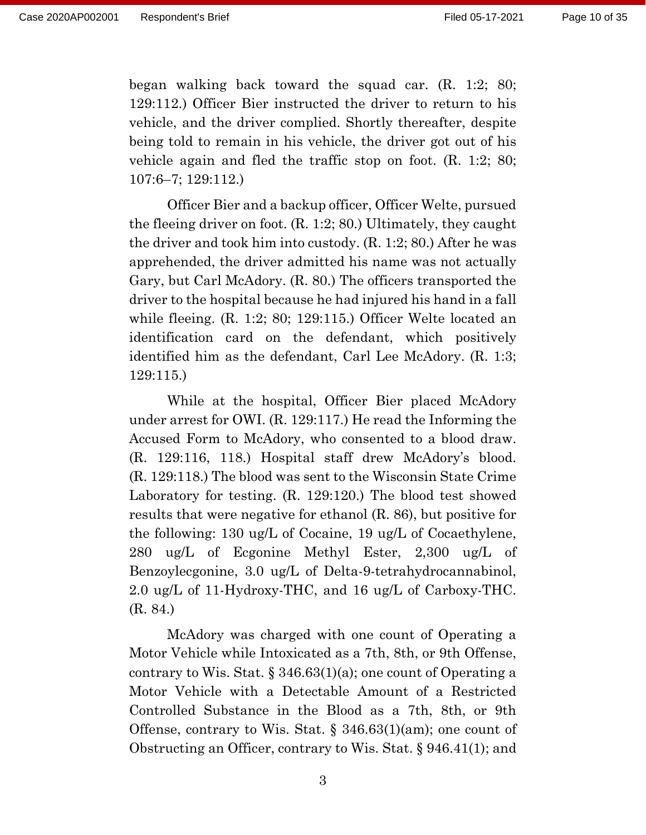began walking back toward the squad car. (R. 1:2; 80; 129:112.) Officer Bier instructed the driver to return to his vehicle, and the driver complied. Shortly thereafter, despite being told to remain in his vehicle, the driver got out of his vehicle again and fled the traffic stop on foot. (R. 1:2; 80; 107:6–7; 129:112.)

Officer Bier and a backup officer, Officer Welte, pursued the fleeing driver on foot. (R. 1:2; 80.) Ultimately, they caught the driver and took him into custody. (R. 1:2; 80.) After he was apprehended, the driver admitted his name was not actually Gary, but Carl McAdory. (R. 80.) The officers transported the driver to the hospital because he had injured his hand in a fall while fleeing. (R. 1:2; 80; 129:115.) Officer Welte located an identification card on the defendant, which positively identified him as the defendant, Carl Lee McAdory. (R. 1:3; 129:115.)

While at the hospital, Officer Bier placed McAdory under arrest for OWI. (R. 129:117.) He read the Informing the Accused Form to McAdory, who consented to a blood draw. (R. 129:116, 118.) Hospital staff drew McAdory's blood. (R. 129:118.) The blood was sent to the Wisconsin State Crime Laboratory for testing. (R. 129:120.) The blood test showed results that were negative for ethanol (R. 86), but positive for the following: 130 ug/L of Cocaine, 19 ug/L of Cocaethylene, 280 ug/L of Ecgonine Methyl Ester, 2,300 ug/L of Benzoylecgonine, 3.0 ug/L of Delta-9-tetrahydrocannabinol, 2.0 ug/L of 11-Hydroxy-THC, and 16 ug/L of Carboxy-THC. (R. 84.)

McAdory was charged with one count of Operating a Motor Vehicle while Intoxicated as a 7th, 8th, or 9th Offense, contrary to Wis. Stat. § 346.63(1)(a); one count of Operating a Motor Vehicle with a Detectable Amount of a Restricted Controlled Substance in the Blood as a 7th, 8th, or 9th Offense, contrary to Wis. Stat. § 346.63(1)(am); one count of Obstructing an Officer, contrary to Wis. Stat. § 946.41(1); and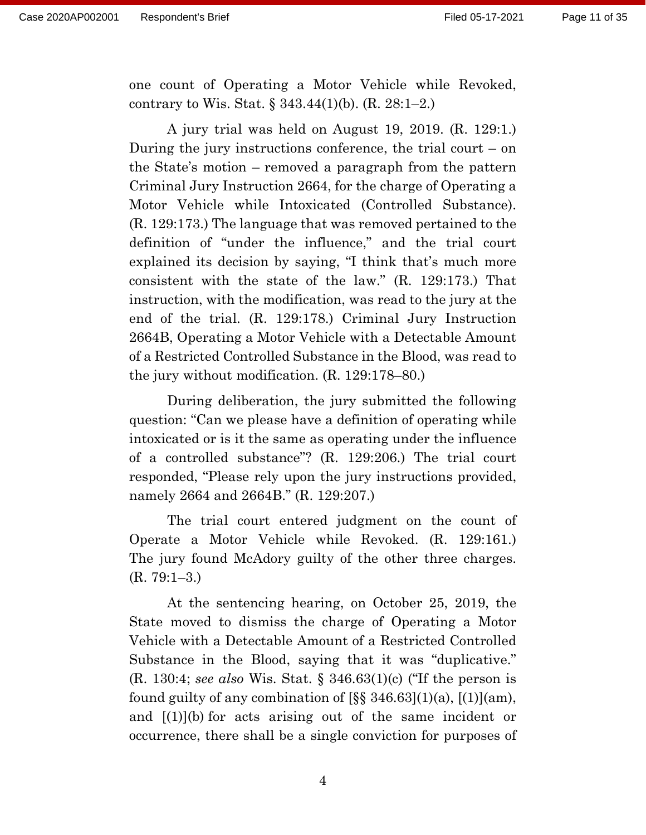one count of Operating a Motor Vehicle while Revoked, contrary to Wis. Stat. § 343.44(1)(b). (R. 28:1–2.)

A jury trial was held on August 19, 2019. (R. 129:1.) During the jury instructions conference, the trial court  $-$  on the State's motion – removed a paragraph from the pattern Criminal Jury Instruction 2664, for the charge of Operating a Motor Vehicle while Intoxicated (Controlled Substance). (R. 129:173.) The language that was removed pertained to the definition of "under the influence," and the trial court explained its decision by saying, "I think that's much more consistent with the state of the law." (R. 129:173.) That instruction, with the modification, was read to the jury at the end of the trial. (R. 129:178.) Criminal Jury Instruction 2664B, Operating a Motor Vehicle with a Detectable Amount of a Restricted Controlled Substance in the Blood, was read to the jury without modification. (R. 129:178–80.)

During deliberation, the jury submitted the following question: "Can we please have a definition of operating while intoxicated or is it the same as operating under the influence of a controlled substance"? (R. 129:206.) The trial court responded, "Please rely upon the jury instructions provided, namely 2664 and 2664B." (R. 129:207.)

The trial court entered judgment on the count of Operate a Motor Vehicle while Revoked. (R. 129:161.) The jury found McAdory guilty of the other three charges. (R. 79:1–3.)

At the sentencing hearing, on October 25, 2019, the State moved to dismiss the charge of Operating a Motor Vehicle with a Detectable Amount of a Restricted Controlled Substance in the Blood, saying that it was "duplicative." (R. 130:4; *see also* Wis. Stat. § 346.63(1)(c) ("If the person is found guilty of any combination of  $\lbrack \S \S \rbrack$  346.63 $\lbrack (1)(a), \lbrack (1)](am)$ , and [(1)](b) for acts arising out of the same incident or occurrence, there shall be a single conviction for purposes of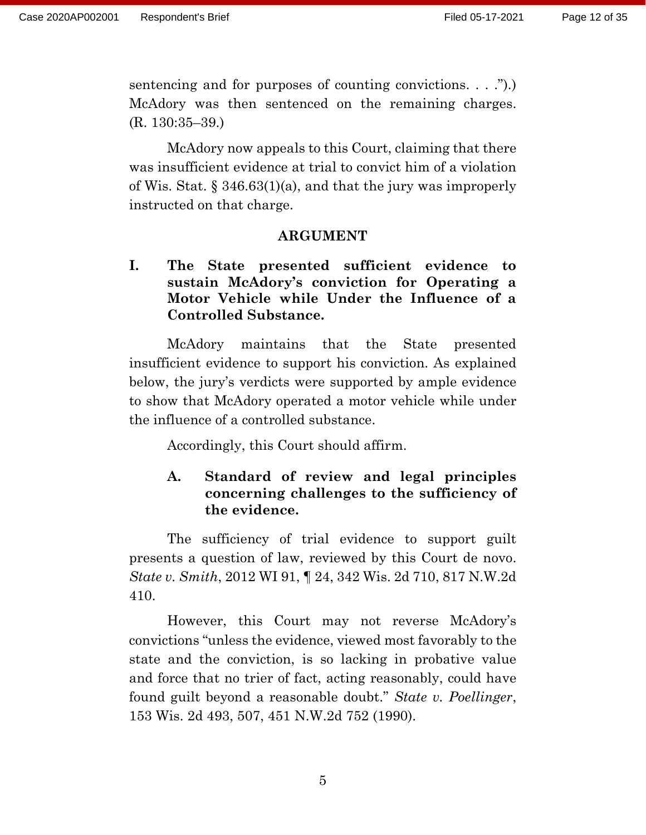sentencing and for purposes of counting convictions. . . ."). McAdory was then sentenced on the remaining charges. (R. 130:35–39.)

McAdory now appeals to this Court, claiming that there was insufficient evidence at trial to convict him of a violation of Wis. Stat. § 346.63(1)(a), and that the jury was improperly instructed on that charge.

### **ARGUMENT**

**I. The State presented sufficient evidence to sustain McAdory's conviction for Operating a Motor Vehicle while Under the Influence of a Controlled Substance.**

McAdory maintains that the State presented insufficient evidence to support his conviction. As explained below, the jury's verdicts were supported by ample evidence to show that McAdory operated a motor vehicle while under the influence of a controlled substance.

Accordingly, this Court should affirm.

### **A. Standard of review and legal principles concerning challenges to the sufficiency of the evidence.**

The sufficiency of trial evidence to support guilt presents a question of law, reviewed by this Court de novo. *State v. Smith*, 2012 WI 91, ¶ 24, 342 Wis. 2d 710, 817 N.W.2d 410.

However, this Court may not reverse McAdory's convictions "unless the evidence, viewed most favorably to the state and the conviction, is so lacking in probative value and force that no trier of fact, acting reasonably, could have found guilt beyond a reasonable doubt." *State v. Poellinger*, 153 Wis. 2d 493, 507, 451 N.W.2d 752 (1990).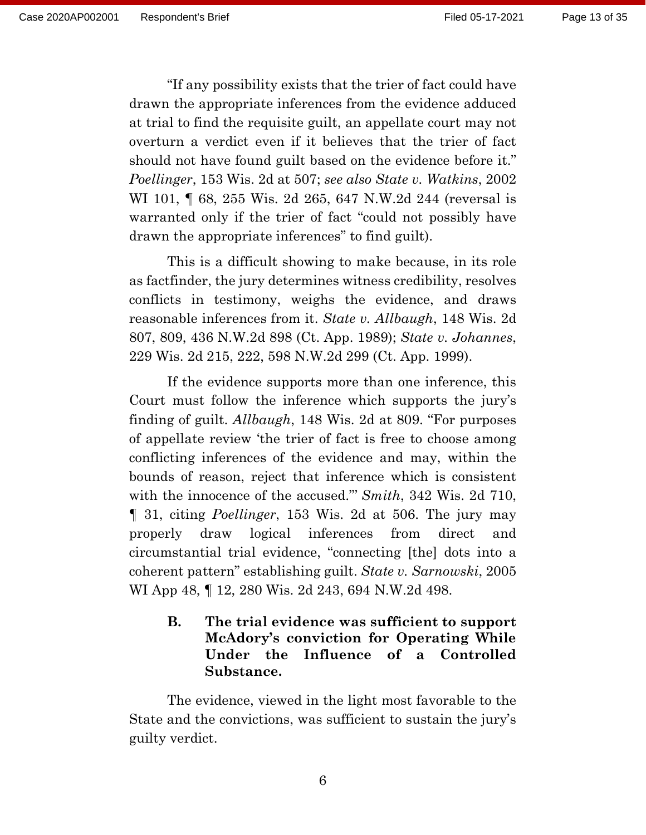"If any possibility exists that the trier of fact could have drawn the appropriate inferences from the evidence adduced at trial to find the requisite guilt, an appellate court may not overturn a verdict even if it believes that the trier of fact should not have found guilt based on the evidence before it." *Poellinger*, 153 Wis. 2d at 507; *see also State v. Watkins*, 2002 WI 101, **[68, 255 Wis. 2d 265, 647 N.W.2d 244 (reversal is** warranted only if the trier of fact "could not possibly have drawn the appropriate inferences" to find guilt).

This is a difficult showing to make because, in its role as factfinder, the jury determines witness credibility, resolves conflicts in testimony, weighs the evidence, and draws reasonable inferences from it. *State v. Allbaugh*, 148 Wis. 2d 807, 809, 436 N.W.2d 898 (Ct. App. 1989); *State v. Johannes*, 229 Wis. 2d 215, 222, 598 N.W.2d 299 (Ct. App. 1999).

If the evidence supports more than one inference, this Court must follow the inference which supports the jury's finding of guilt. *Allbaugh*, 148 Wis. 2d at 809. "For purposes of appellate review 'the trier of fact is free to choose among conflicting inferences of the evidence and may, within the bounds of reason, reject that inference which is consistent with the innocence of the accused."' *Smith*, 342 Wis. 2d 710, ¶ 31, citing *Poellinger*, 153 Wis. 2d at 506. The jury may properly draw logical inferences from direct and circumstantial trial evidence, "connecting [the] dots into a coherent pattern" establishing guilt. *State v. Sarnowski*, 2005 WI App 48, ¶ 12, 280 Wis. 2d 243, 694 N.W.2d 498.

### **B. The trial evidence was sufficient to support McAdory's conviction for Operating While Under the Influence of a Controlled Substance.**

The evidence, viewed in the light most favorable to the State and the convictions, was sufficient to sustain the jury's guilty verdict.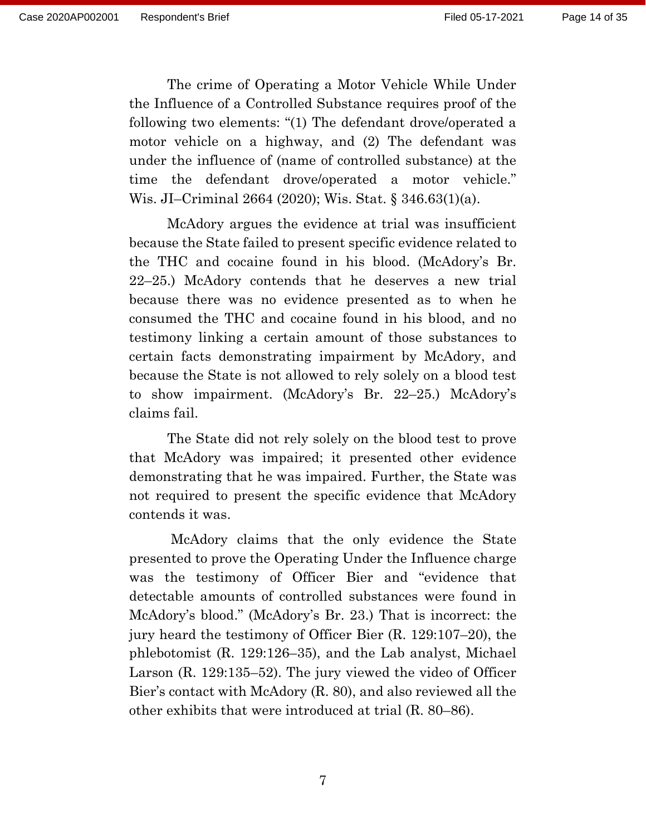The crime of Operating a Motor Vehicle While Under the Influence of a Controlled Substance requires proof of the following two elements: "(1) The defendant drove/operated a motor vehicle on a highway, and (2) The defendant was under the influence of (name of controlled substance) at the time the defendant drove/operated a motor vehicle." Wis. JI–Criminal 2664 (2020); Wis. Stat. § 346.63(1)(a).

McAdory argues the evidence at trial was insufficient because the State failed to present specific evidence related to the THC and cocaine found in his blood. (McAdory's Br. 22–25.) McAdory contends that he deserves a new trial because there was no evidence presented as to when he consumed the THC and cocaine found in his blood, and no testimony linking a certain amount of those substances to certain facts demonstrating impairment by McAdory, and because the State is not allowed to rely solely on a blood test to show impairment. (McAdory's Br. 22–25.) McAdory's claims fail.

The State did not rely solely on the blood test to prove that McAdory was impaired; it presented other evidence demonstrating that he was impaired. Further, the State was not required to present the specific evidence that McAdory contends it was.

McAdory claims that the only evidence the State presented to prove the Operating Under the Influence charge was the testimony of Officer Bier and "evidence that detectable amounts of controlled substances were found in McAdory's blood." (McAdory's Br. 23.) That is incorrect: the jury heard the testimony of Officer Bier (R. 129:107–20), the phlebotomist (R. 129:126–35), and the Lab analyst, Michael Larson (R. 129:135–52). The jury viewed the video of Officer Bier's contact with McAdory (R. 80), and also reviewed all the other exhibits that were introduced at trial (R. 80–86).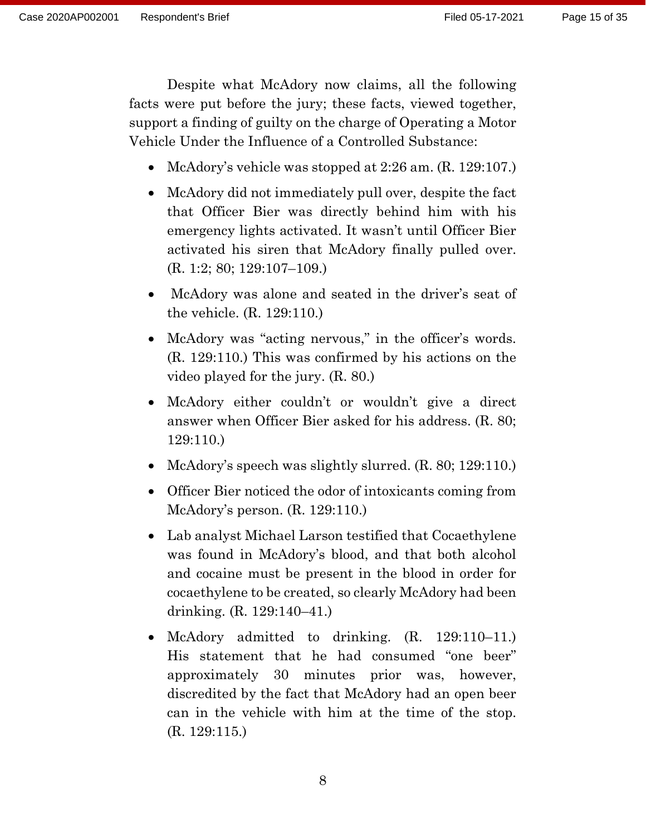Despite what McAdory now claims, all the following facts were put before the jury; these facts, viewed together, support a finding of guilty on the charge of Operating a Motor Vehicle Under the Influence of a Controlled Substance:

- McAdory's vehicle was stopped at 2:26 am. (R. 129:107.)
- McAdory did not immediately pull over, despite the fact that Officer Bier was directly behind him with his emergency lights activated. It wasn't until Officer Bier activated his siren that McAdory finally pulled over. (R. 1:2; 80; 129:107–109.)
- McAdory was alone and seated in the driver's seat of the vehicle. (R. 129:110.)
- McAdory was "acting nervous," in the officer's words. (R. 129:110.) This was confirmed by his actions on the video played for the jury. (R. 80.)
- McAdory either couldn't or wouldn't give a direct answer when Officer Bier asked for his address. (R. 80; 129:110.)
- McAdory's speech was slightly slurred. (R. 80; 129:110.)
- Officer Bier noticed the odor of intoxicants coming from McAdory's person. (R. 129:110.)
- Lab analyst Michael Larson testified that Cocaethylene was found in McAdory's blood, and that both alcohol and cocaine must be present in the blood in order for cocaethylene to be created, so clearly McAdory had been drinking. (R. 129:140–41.)
- McAdory admitted to drinking. (R. 129:110–11.) His statement that he had consumed "one beer" approximately 30 minutes prior was, however, discredited by the fact that McAdory had an open beer can in the vehicle with him at the time of the stop. (R. 129:115.)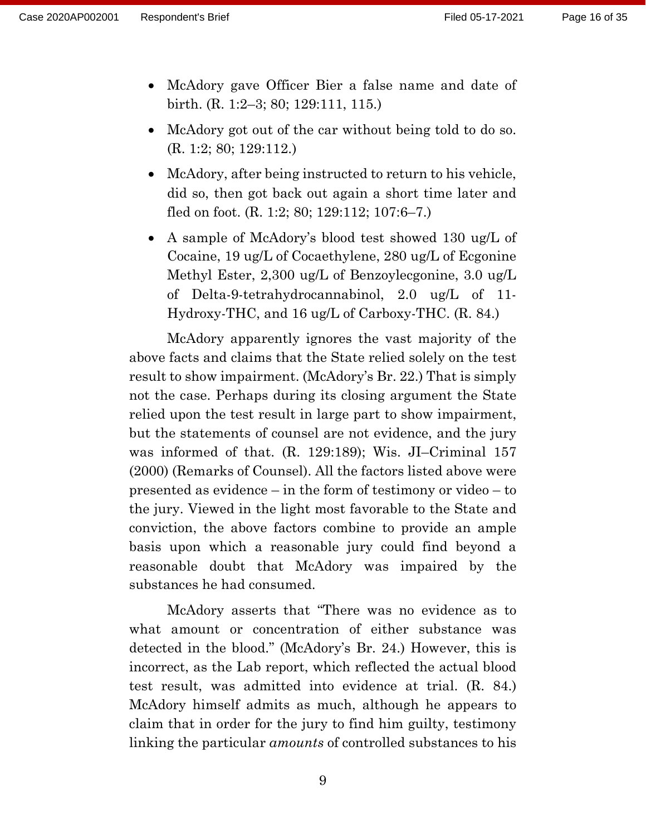- McAdory gave Officer Bier a false name and date of birth. (R. 1:2–3; 80; 129:111, 115.)
- McAdory got out of the car without being told to do so. (R. 1:2; 80; 129:112.)
- McAdory, after being instructed to return to his vehicle, did so, then got back out again a short time later and fled on foot. (R. 1:2; 80; 129:112; 107:6–7.)
- A sample of McAdory's blood test showed 130 ug/L of Cocaine, 19 ug/L of Cocaethylene, 280 ug/L of Ecgonine Methyl Ester, 2,300 ug/L of Benzoylecgonine, 3.0 ug/L of Delta-9-tetrahydrocannabinol, 2.0 ug/L of 11- Hydroxy-THC, and 16 ug/L of Carboxy-THC. (R. 84.)

McAdory apparently ignores the vast majority of the above facts and claims that the State relied solely on the test result to show impairment. (McAdory's Br. 22.) That is simply not the case. Perhaps during its closing argument the State relied upon the test result in large part to show impairment, but the statements of counsel are not evidence, and the jury was informed of that. (R. 129:189); Wis. JI–Criminal 157 (2000) (Remarks of Counsel). All the factors listed above were presented as evidence – in the form of testimony or video – to the jury. Viewed in the light most favorable to the State and conviction, the above factors combine to provide an ample basis upon which a reasonable jury could find beyond a reasonable doubt that McAdory was impaired by the substances he had consumed.

McAdory asserts that "There was no evidence as to what amount or concentration of either substance was detected in the blood." (McAdory's Br. 24.) However, this is incorrect, as the Lab report, which reflected the actual blood test result, was admitted into evidence at trial. (R. 84.) McAdory himself admits as much, although he appears to claim that in order for the jury to find him guilty, testimony linking the particular *amounts* of controlled substances to his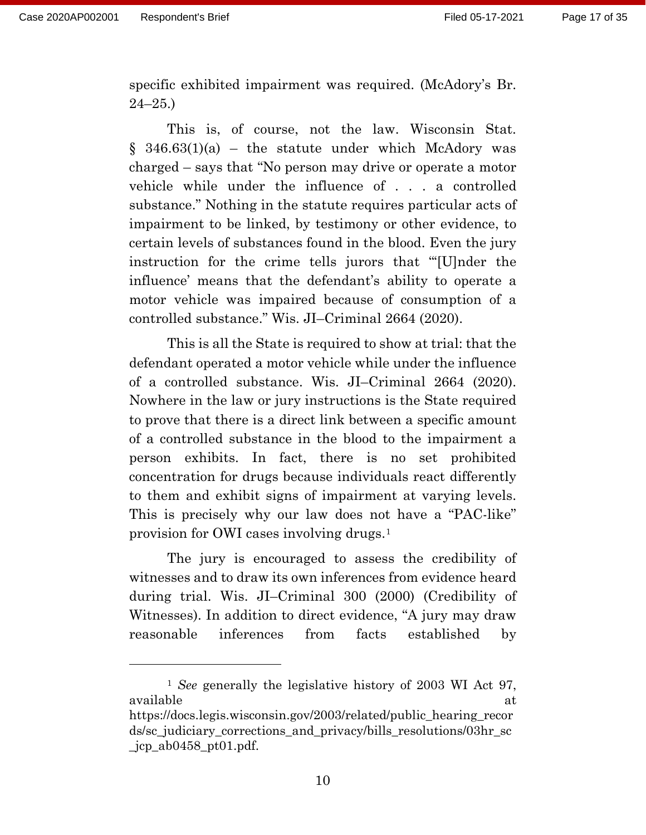specific exhibited impairment was required. (McAdory's Br. 24–25.)

This is, of course, not the law. Wisconsin Stat.  $§$  346.63(1)(a) – the statute under which McAdory was charged – says that "No person may drive or operate a motor vehicle while under the influence of . . . a controlled substance." Nothing in the statute requires particular acts of impairment to be linked, by testimony or other evidence, to certain levels of substances found in the blood. Even the jury instruction for the crime tells jurors that "'[U]nder the influence' means that the defendant's ability to operate a motor vehicle was impaired because of consumption of a controlled substance." Wis. JI–Criminal 2664 (2020).

This is all the State is required to show at trial: that the defendant operated a motor vehicle while under the influence of a controlled substance. Wis. JI–Criminal 2664 (2020). Nowhere in the law or jury instructions is the State required to prove that there is a direct link between a specific amount of a controlled substance in the blood to the impairment a person exhibits. In fact, there is no set prohibited concentration for drugs because individuals react differently to them and exhibit signs of impairment at varying levels. This is precisely why our law does not have a "PAC-like" provision for OWI cases involving drugs.[1](#page-16-0)

The jury is encouraged to assess the credibility of witnesses and to draw its own inferences from evidence heard during trial. Wis. JI–Criminal 300 (2000) (Credibility of Witnesses). In addition to direct evidence, "A jury may draw reasonable inferences from facts established by

<span id="page-16-0"></span><sup>1</sup> *See* generally the legislative history of 2003 WI Act 97, available at the set of the set of the set of the set of the set of the set of the set of the set of the set o [https://docs.legis.wisconsin.gov/2003/related/public\\_hearing\\_recor](https://docs.legis.wisconsin.gov/2003/related/public_hearing_records/sc_judiciary_corrections_and_privacy/bills_resolutions/03hr_sc_jcp_ab0458_pt01.pdf) [ds/sc\\_judiciary\\_corrections\\_and\\_privacy/bills\\_resolutions/03hr\\_sc](https://docs.legis.wisconsin.gov/2003/related/public_hearing_records/sc_judiciary_corrections_and_privacy/bills_resolutions/03hr_sc_jcp_ab0458_pt01.pdf) [\\_jcp\\_ab0458\\_pt01.pdf.](https://docs.legis.wisconsin.gov/2003/related/public_hearing_records/sc_judiciary_corrections_and_privacy/bills_resolutions/03hr_sc_jcp_ab0458_pt01.pdf)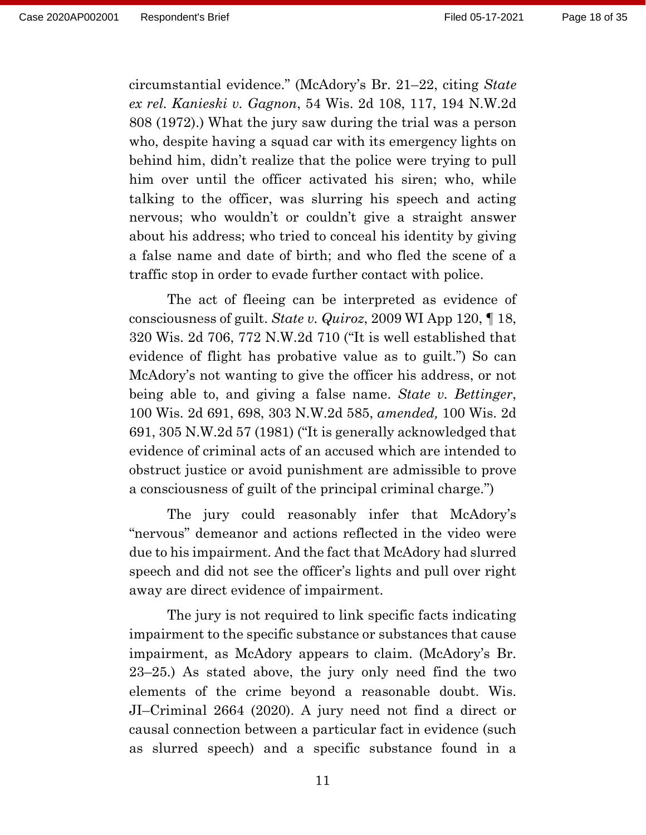circumstantial evidence." (McAdory's Br. 21–22, citing *State ex rel. Kanieski v. Gagnon*, 54 Wis. 2d 108, 117, 194 N.W.2d 808 (1972).) What the jury saw during the trial was a person who, despite having a squad car with its emergency lights on behind him, didn't realize that the police were trying to pull him over until the officer activated his siren; who, while talking to the officer, was slurring his speech and acting nervous; who wouldn't or couldn't give a straight answer about his address; who tried to conceal his identity by giving a false name and date of birth; and who fled the scene of a traffic stop in order to evade further contact with police.

The act of fleeing can be interpreted as evidence of consciousness of guilt. *State v. Quiroz*, 2009 WI App 120, ¶ 18, 320 Wis. 2d 706, 772 N.W.2d 710 ("It is well established that evidence of flight has probative value as to guilt.") So can McAdory's not wanting to give the officer his address, or not being able to, and giving a false name. *State v. Bettinger*, 100 Wis. 2d 691, 698, 303 N.W.2d 585, *amended,* 100 Wis. 2d 691, 305 N.W.2d 57 (1981) ("It is generally acknowledged that evidence of criminal acts of an accused which are intended to obstruct justice or avoid punishment are admissible to prove a consciousness of guilt of the principal criminal charge.")

The jury could reasonably infer that McAdory's "nervous" demeanor and actions reflected in the video were due to his impairment. And the fact that McAdory had slurred speech and did not see the officer's lights and pull over right away are direct evidence of impairment.

The jury is not required to link specific facts indicating impairment to the specific substance or substances that cause impairment, as McAdory appears to claim. (McAdory's Br. 23–25.) As stated above, the jury only need find the two elements of the crime beyond a reasonable doubt. Wis. JI–Criminal 2664 (2020). A jury need not find a direct or causal connection between a particular fact in evidence (such as slurred speech) and a specific substance found in a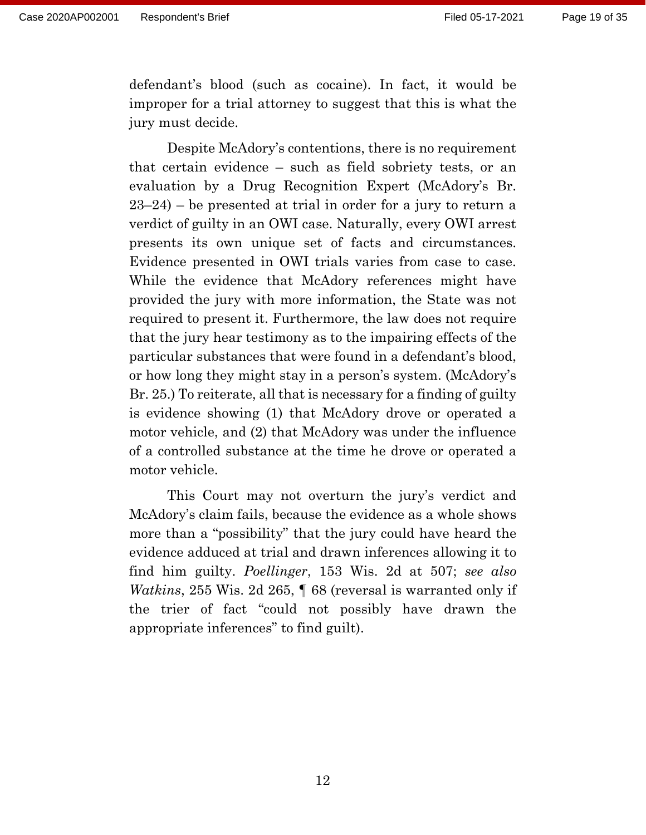defendant's blood (such as cocaine). In fact, it would be improper for a trial attorney to suggest that this is what the jury must decide.

Despite McAdory's contentions, there is no requirement that certain evidence – such as field sobriety tests, or an evaluation by a Drug Recognition Expert (McAdory's Br. 23–24) – be presented at trial in order for a jury to return a verdict of guilty in an OWI case. Naturally, every OWI arrest presents its own unique set of facts and circumstances. Evidence presented in OWI trials varies from case to case. While the evidence that McAdory references might have provided the jury with more information, the State was not required to present it. Furthermore, the law does not require that the jury hear testimony as to the impairing effects of the particular substances that were found in a defendant's blood, or how long they might stay in a person's system. (McAdory's Br. 25.) To reiterate, all that is necessary for a finding of guilty is evidence showing (1) that McAdory drove or operated a motor vehicle, and (2) that McAdory was under the influence of a controlled substance at the time he drove or operated a motor vehicle.

This Court may not overturn the jury's verdict and McAdory's claim fails, because the evidence as a whole shows more than a "possibility" that the jury could have heard the evidence adduced at trial and drawn inferences allowing it to find him guilty. *Poellinger*, 153 Wis. 2d at 507; *see also Watkins*, 255 Wis. 2d 265, ¶ 68 (reversal is warranted only if the trier of fact "could not possibly have drawn the appropriate inferences" to find guilt).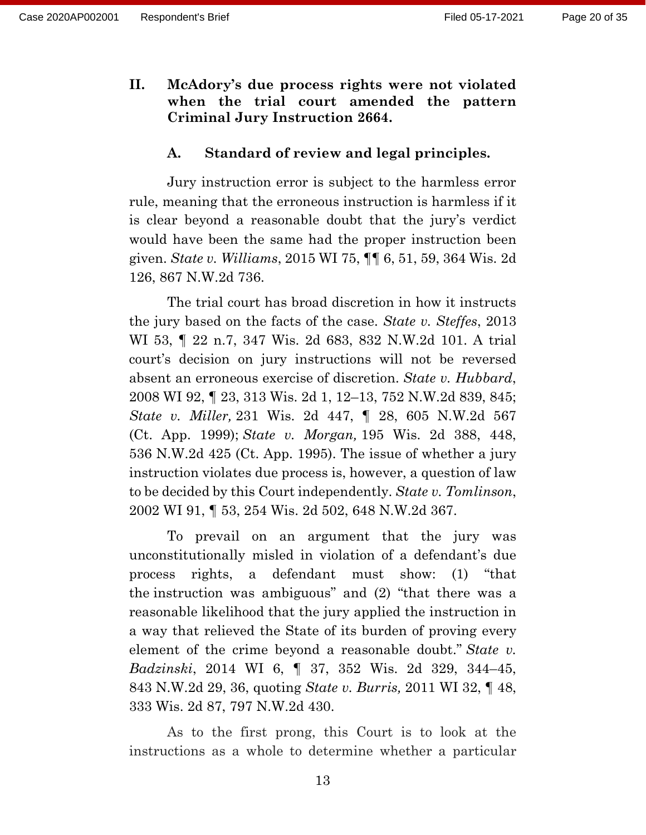**II. McAdory's due process rights were not violated when the trial court amended the pattern Criminal Jury Instruction 2664.**

#### **A. Standard of review and legal principles.**

Jury instruction error is subject to the harmless error rule, meaning that the erroneous instruction is harmless if it is clear beyond a reasonable doubt that the jury's verdict would have been the same had the proper instruction been given. *State v. Williams*, 2015 WI 75, ¶¶ 6, 51, 59, 364 Wis. 2d 126, 867 N.W.2d 736.

The trial court has broad discretion in how it instructs the jury based on the facts of the case. *State v. Steffes*, 2013 WI 53, ¶ 22 n.7, 347 Wis. 2d 683, 832 N.W.2d 101. A trial court's decision on jury instructions will not be reversed absent an erroneous exercise of discretion. *State v. Hubbard*, 2008 WI 92, ¶ 23, 313 Wis. 2d 1, 12–13, 752 N.W.2d 839, 845; *State v. Miller,* 231 Wis. 2d 447, ¶ 28, 605 N.W.2d 567 (Ct. App. 1999); *State v. Morgan,* 195 Wis. 2d 388, 448, 536 N.W.2d 425 (Ct. App. 1995). The issue of whether a jury instruction violates due process is, however, a question of law to be decided by this Court independently. *State v. Tomlinson*, 2002 WI 91, ¶ 53, 254 Wis. 2d 502, 648 N.W.2d 367.

To prevail on an argument that the jury was unconstitutionally misled in violation of a defendant's due process rights, a defendant must show: (1) "that the instruction was ambiguous" and (2) "that there was a reasonable likelihood that the jury applied the instruction in a way that relieved the State of its burden of proving every element of the crime beyond a reasonable doubt." *State v. Badzinski*, 2014 WI 6, ¶ 37, 352 Wis. 2d 329, 344–45, 843 N.W.2d 29, 36, quoting *State v. Burris,* 2011 WI 32, ¶ 48, 333 Wis. 2d 87, 797 N.W.2d 430.

As to the first prong, this Court is to look at the instructions as a whole to determine whether a particular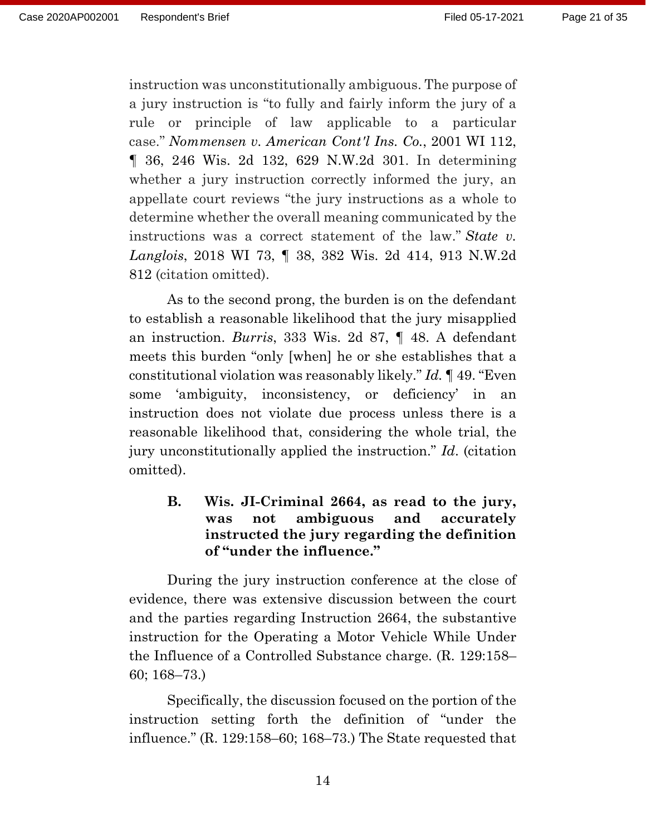instruction was unconstitutionally ambiguous. The purpose of a jury instruction is "to fully and fairly inform the jury of a rule or principle of law applicable to a particular case." *Nommensen v. American Cont'l Ins. Co.*, 2001 WI 112, ¶ 36, 246 Wis. 2d 132, 629 N.W.2d 301. In determining whether a jury instruction correctly informed the jury, an appellate court reviews "the jury instructions as a whole to determine whether the overall meaning communicated by the instructions was a correct statement of the law." *State v. Langlois*, 2018 WI 73, ¶ 38, 382 Wis. 2d 414, 913 N.W.2d 812 (citation omitted).

As to the second prong, the burden is on the defendant to establish a reasonable likelihood that the jury misapplied an instruction. *Burris*, 333 Wis. 2d 87, ¶ 48. A defendant meets this burden "only [when] he or she establishes that a constitutional violation was reasonably likely." *Id.* ¶ 49. "Even some 'ambiguity, inconsistency, or deficiency' in an instruction does not violate due process unless there is a reasonable likelihood that, considering the whole trial, the jury unconstitutionally applied the instruction." *Id*. (citation omitted).

**B. Wis. JI-Criminal 2664, as read to the jury, was not ambiguous and accurately instructed the jury regarding the definition of "under the influence."**

During the jury instruction conference at the close of evidence, there was extensive discussion between the court and the parties regarding Instruction 2664, the substantive instruction for the Operating a Motor Vehicle While Under the Influence of a Controlled Substance charge. (R. 129:158– 60; 168–73.)

Specifically, the discussion focused on the portion of the instruction setting forth the definition of "under the influence." (R. 129:158–60; 168–73.) The State requested that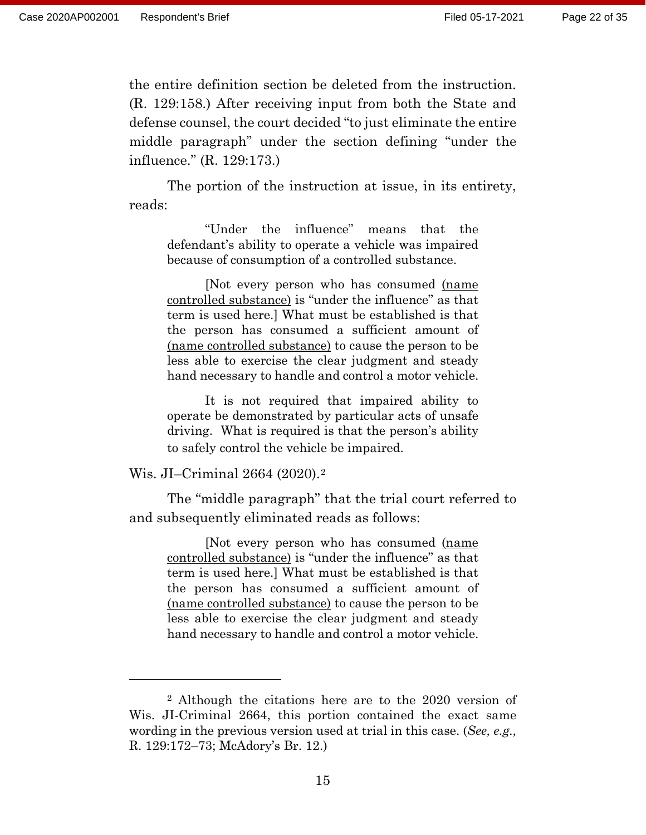the entire definition section be deleted from the instruction. (R. 129:158.) After receiving input from both the State and defense counsel, the court decided "to just eliminate the entire middle paragraph" under the section defining "under the influence." (R. 129:173.)

The portion of the instruction at issue, in its entirety, reads:

"Under the influence" means that the defendant's ability to operate a vehicle was impaired because of consumption of a controlled substance.

[Not every person who has consumed (name controlled substance) is "under the influence" as that term is used here.] What must be established is that the person has consumed a sufficient amount of (name controlled substance) to cause the person to be less able to exercise the clear judgment and steady hand necessary to handle and control a motor vehicle.

It is not required that impaired ability to operate be demonstrated by particular acts of unsafe driving. What is required is that the person's ability to safely control the vehicle be impaired.

Wis. JI–Criminal 2664 (2020).[2](#page-21-0) 

The "middle paragraph" that the trial court referred to and subsequently eliminated reads as follows:

[Not every person who has consumed (name controlled substance) is "under the influence" as that term is used here.] What must be established is that the person has consumed a sufficient amount of (name controlled substance) to cause the person to be less able to exercise the clear judgment and steady hand necessary to handle and control a motor vehicle.

<span id="page-21-0"></span><sup>2</sup> Although the citations here are to the 2020 version of Wis. JI-Criminal 2664, this portion contained the exact same wording in the previous version used at trial in this case. (*See, e.g.,* R. 129:172–73; McAdory's Br. 12.)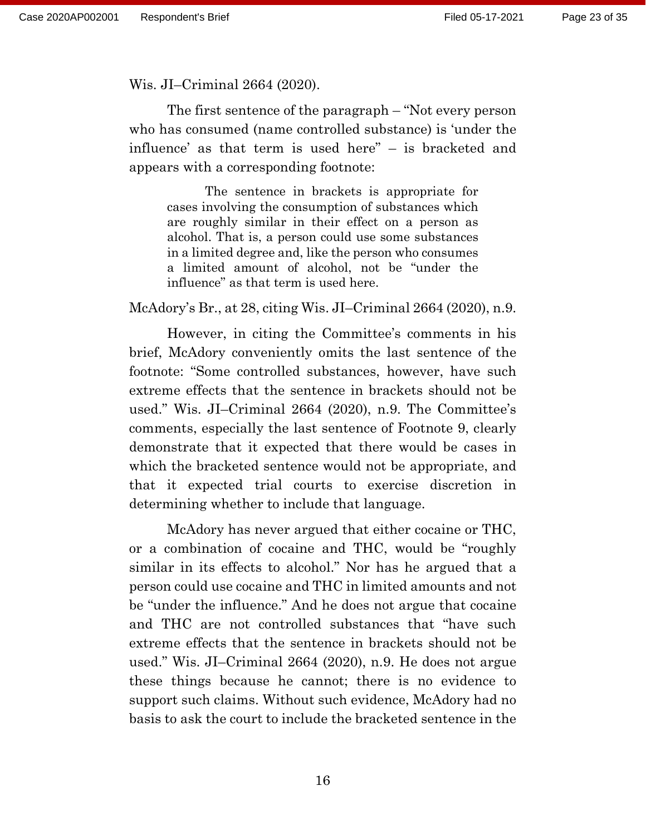Wis. JI–Criminal 2664 (2020).

The first sentence of the paragraph – "Not every person who has consumed (name controlled substance) is 'under the influence' as that term is used here" – is bracketed and appears with a corresponding footnote:

The sentence in brackets is appropriate for cases involving the consumption of substances which are roughly similar in their effect on a person as alcohol. That is, a person could use some substances in a limited degree and, like the person who consumes a limited amount of alcohol, not be "under the influence" as that term is used here.

McAdory's Br., at 28, citing Wis. JI–Criminal 2664 (2020), n.9.

However, in citing the Committee's comments in his brief, McAdory conveniently omits the last sentence of the footnote: "Some controlled substances, however, have such extreme effects that the sentence in brackets should not be used." Wis. JI–Criminal 2664 (2020), n.9. The Committee's comments, especially the last sentence of Footnote 9, clearly demonstrate that it expected that there would be cases in which the bracketed sentence would not be appropriate, and that it expected trial courts to exercise discretion in determining whether to include that language.

 McAdory has never argued that either cocaine or THC, or a combination of cocaine and THC, would be "roughly similar in its effects to alcohol." Nor has he argued that a person could use cocaine and THC in limited amounts and not be "under the influence." And he does not argue that cocaine and THC are not controlled substances that "have such extreme effects that the sentence in brackets should not be used." Wis. JI–Criminal 2664 (2020), n.9. He does not argue these things because he cannot; there is no evidence to support such claims. Without such evidence, McAdory had no basis to ask the court to include the bracketed sentence in the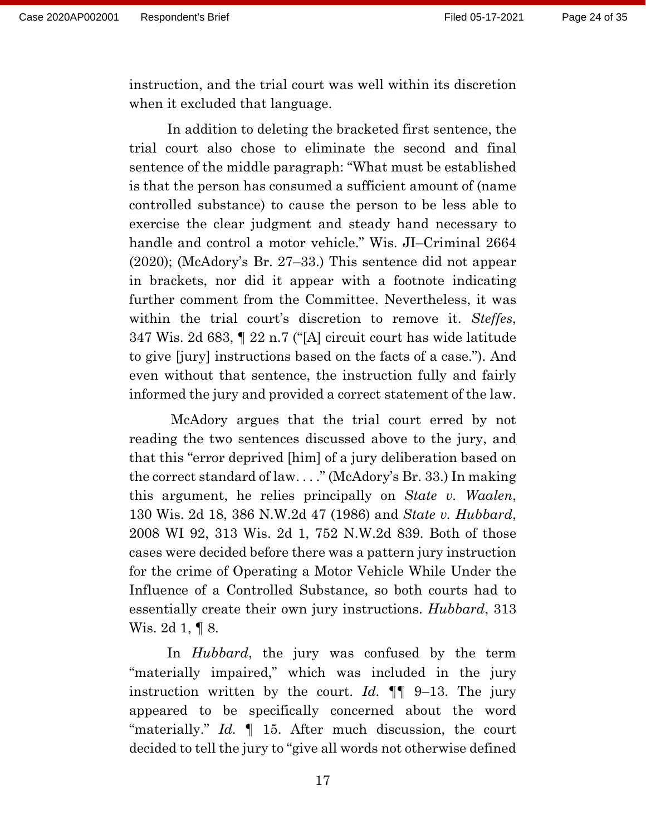instruction, and the trial court was well within its discretion when it excluded that language.

In addition to deleting the bracketed first sentence, the trial court also chose to eliminate the second and final sentence of the middle paragraph: "What must be established is that the person has consumed a sufficient amount of (name controlled substance) to cause the person to be less able to exercise the clear judgment and steady hand necessary to handle and control a motor vehicle." Wis. JI–Criminal 2664 (2020); (McAdory's Br. 27–33.) This sentence did not appear in brackets, nor did it appear with a footnote indicating further comment from the Committee. Nevertheless, it was within the trial court's discretion to remove it. *Steffes*, 347 Wis. 2d 683, ¶ 22 n.7 ("[A] circuit court has wide latitude to give [jury] instructions based on the facts of a case."). And even without that sentence, the instruction fully and fairly informed the jury and provided a correct statement of the law.

McAdory argues that the trial court erred by not reading the two sentences discussed above to the jury, and that this "error deprived [him] of a jury deliberation based on the correct standard of law. . . ." (McAdory's Br. 33.) In making this argument, he relies principally on *State v. Waalen*, 130 Wis. 2d 18, 386 N.W.2d 47 (1986) and *State v. Hubbard*, 2008 WI 92, 313 Wis. 2d 1, 752 N.W.2d 839. Both of those cases were decided before there was a pattern jury instruction for the crime of Operating a Motor Vehicle While Under the Influence of a Controlled Substance, so both courts had to essentially create their own jury instructions. *Hubbard*, 313 Wis. 2d 1, ¶ 8.

In *Hubbard*, the jury was confused by the term "materially impaired," which was included in the jury instruction written by the court. *Id.* ¶¶ 9–13. The jury appeared to be specifically concerned about the word "materially." *Id.* ¶ 15. After much discussion, the court decided to tell the jury to "give all words not otherwise defined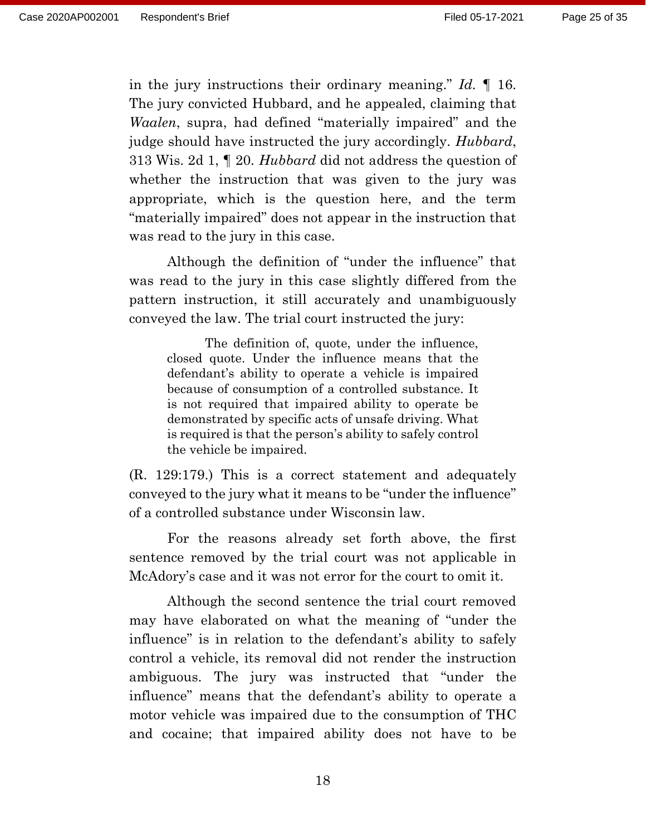in the jury instructions their ordinary meaning." *Id.* ¶ 16. The jury convicted Hubbard, and he appealed, claiming that *Waalen*, supra, had defined "materially impaired" and the judge should have instructed the jury accordingly. *Hubbard*, 313 Wis. 2d 1, ¶ 20. *Hubbard* did not address the question of whether the instruction that was given to the jury was appropriate, which is the question here, and the term "materially impaired" does not appear in the instruction that was read to the jury in this case.

Although the definition of "under the influence" that was read to the jury in this case slightly differed from the pattern instruction, it still accurately and unambiguously conveyed the law. The trial court instructed the jury:

The definition of, quote, under the influence, closed quote. Under the influence means that the defendant's ability to operate a vehicle is impaired because of consumption of a controlled substance. It is not required that impaired ability to operate be demonstrated by specific acts of unsafe driving. What is required is that the person's ability to safely control the vehicle be impaired.

(R. 129:179.) This is a correct statement and adequately conveyed to the jury what it means to be "under the influence" of a controlled substance under Wisconsin law.

For the reasons already set forth above, the first sentence removed by the trial court was not applicable in McAdory's case and it was not error for the court to omit it.

Although the second sentence the trial court removed may have elaborated on what the meaning of "under the influence" is in relation to the defendant's ability to safely control a vehicle, its removal did not render the instruction ambiguous. The jury was instructed that "under the influence" means that the defendant's ability to operate a motor vehicle was impaired due to the consumption of THC and cocaine; that impaired ability does not have to be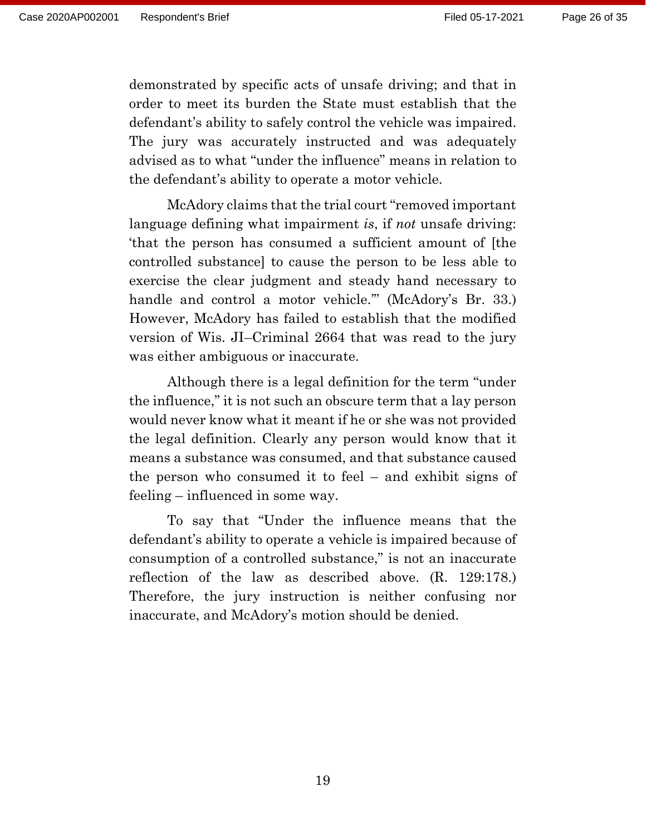demonstrated by specific acts of unsafe driving; and that in order to meet its burden the State must establish that the defendant's ability to safely control the vehicle was impaired. The jury was accurately instructed and was adequately advised as to what "under the influence" means in relation to the defendant's ability to operate a motor vehicle.

McAdory claims that the trial court "removed important language defining what impairment *is*, if *not* unsafe driving: 'that the person has consumed a sufficient amount of [the controlled substance] to cause the person to be less able to exercise the clear judgment and steady hand necessary to handle and control a motor vehicle.'" (McAdory's Br. 33.) However, McAdory has failed to establish that the modified version of Wis. JI–Criminal 2664 that was read to the jury was either ambiguous or inaccurate.

 Although there is a legal definition for the term "under the influence," it is not such an obscure term that a lay person would never know what it meant if he or she was not provided the legal definition. Clearly any person would know that it means a substance was consumed, and that substance caused the person who consumed it to feel – and exhibit signs of feeling – influenced in some way.

 To say that "Under the influence means that the defendant's ability to operate a vehicle is impaired because of consumption of a controlled substance," is not an inaccurate reflection of the law as described above. (R. 129:178.) Therefore, the jury instruction is neither confusing nor inaccurate, and McAdory's motion should be denied.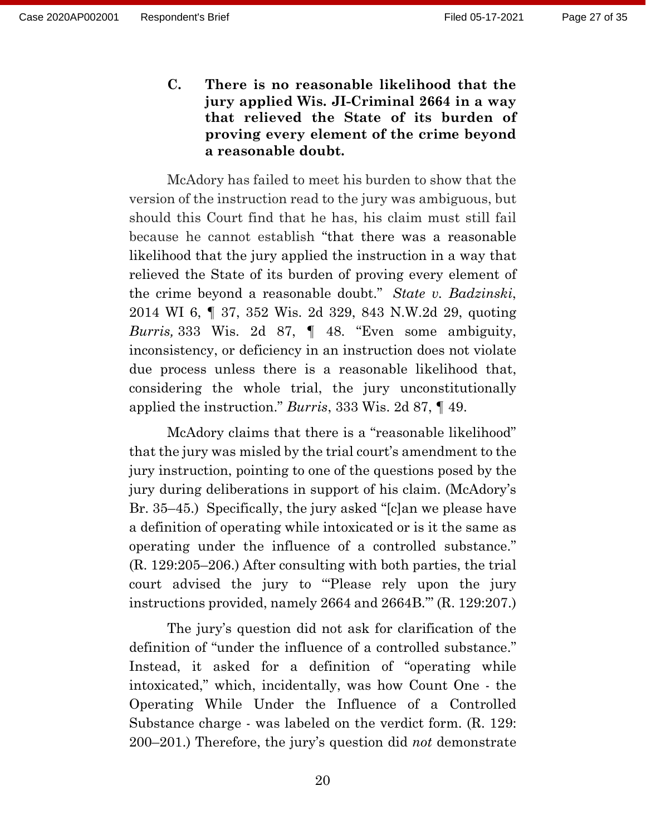**C. There is no reasonable likelihood that the jury applied Wis. JI-Criminal 2664 in a way that relieved the State of its burden of proving every element of the crime beyond a reasonable doubt.**

McAdory has failed to meet his burden to show that the version of the instruction read to the jury was ambiguous, but should this Court find that he has, his claim must still fail because he cannot establish "that there was a reasonable likelihood that the jury applied the instruction in a way that relieved the State of its burden of proving every element of the crime beyond a reasonable doubt." *State v. Badzinski*, 2014 WI 6, ¶ 37, 352 Wis. 2d 329, 843 N.W.2d 29, quoting *Burris,* 333 Wis. 2d 87, ¶ 48. "Even some ambiguity, inconsistency, or deficiency in an instruction does not violate due process unless there is a reasonable likelihood that, considering the whole trial, the jury unconstitutionally applied the instruction." *Burris*, 333 Wis. 2d 87, ¶ 49.

McAdory claims that there is a "reasonable likelihood" that the jury was misled by the trial court's amendment to the jury instruction, pointing to one of the questions posed by the jury during deliberations in support of his claim. (McAdory's Br. 35–45.) Specifically, the jury asked "[c]an we please have a definition of operating while intoxicated or is it the same as operating under the influence of a controlled substance." (R. 129:205–206.) After consulting with both parties, the trial court advised the jury to '"Please rely upon the jury instructions provided, namely 2664 and 2664B."' (R. 129:207.)

The jury's question did not ask for clarification of the definition of "under the influence of a controlled substance." Instead, it asked for a definition of "operating while intoxicated," which, incidentally, was how Count One - the Operating While Under the Influence of a Controlled Substance charge - was labeled on the verdict form. (R. 129: 200–201.) Therefore, the jury's question did *not* demonstrate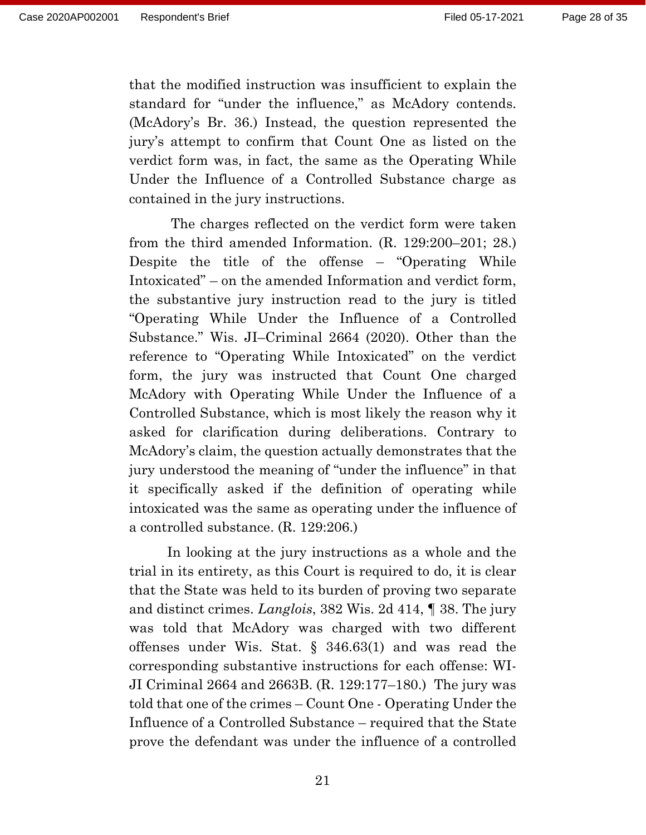that the modified instruction was insufficient to explain the standard for "under the influence," as McAdory contends. (McAdory's Br. 36.) Instead, the question represented the jury's attempt to confirm that Count One as listed on the verdict form was, in fact, the same as the Operating While Under the Influence of a Controlled Substance charge as contained in the jury instructions.

The charges reflected on the verdict form were taken from the third amended Information. (R. 129:200–201; 28.) Despite the title of the offense – "Operating While Intoxicated" – on the amended Information and verdict form, the substantive jury instruction read to the jury is titled "Operating While Under the Influence of a Controlled Substance." Wis. JI–Criminal 2664 (2020). Other than the reference to "Operating While Intoxicated" on the verdict form, the jury was instructed that Count One charged McAdory with Operating While Under the Influence of a Controlled Substance, which is most likely the reason why it asked for clarification during deliberations. Contrary to McAdory's claim, the question actually demonstrates that the jury understood the meaning of "under the influence" in that it specifically asked if the definition of operating while intoxicated was the same as operating under the influence of a controlled substance. (R. 129:206.)

In looking at the jury instructions as a whole and the trial in its entirety, as this Court is required to do, it is clear that the State was held to its burden of proving two separate and distinct crimes. *Langlois*, 382 Wis. 2d 414, ¶ 38. The jury was told that McAdory was charged with two different offenses under Wis. Stat. § 346.63(1) and was read the corresponding substantive instructions for each offense: WI-JI Criminal 2664 and 2663B. (R. 129:177–180.) The jury was told that one of the crimes – Count One - Operating Under the Influence of a Controlled Substance – required that the State prove the defendant was under the influence of a controlled

21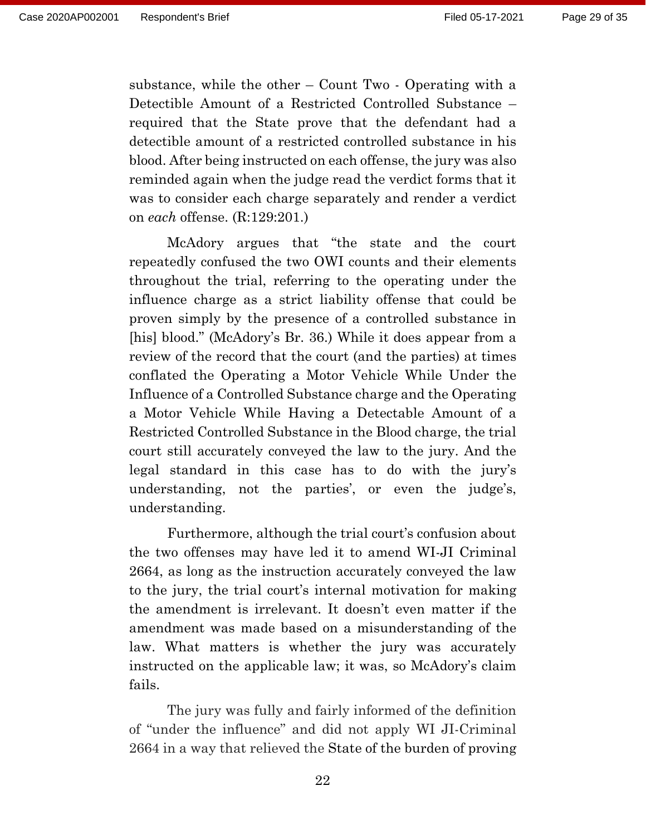substance, while the other – Count Two - Operating with a Detectible Amount of a Restricted Controlled Substance – required that the State prove that the defendant had a detectible amount of a restricted controlled substance in his blood. After being instructed on each offense, the jury was also reminded again when the judge read the verdict forms that it was to consider each charge separately and render a verdict on *each* offense. (R:129:201.)

McAdory argues that "the state and the court repeatedly confused the two OWI counts and their elements throughout the trial, referring to the operating under the influence charge as a strict liability offense that could be proven simply by the presence of a controlled substance in [his] blood." (McAdory's Br. 36.) While it does appear from a review of the record that the court (and the parties) at times conflated the Operating a Motor Vehicle While Under the Influence of a Controlled Substance charge and the Operating a Motor Vehicle While Having a Detectable Amount of a Restricted Controlled Substance in the Blood charge, the trial court still accurately conveyed the law to the jury. And the legal standard in this case has to do with the jury's understanding, not the parties', or even the judge's, understanding.

Furthermore, although the trial court's confusion about the two offenses may have led it to amend WI-JI Criminal 2664, as long as the instruction accurately conveyed the law to the jury, the trial court's internal motivation for making the amendment is irrelevant. It doesn't even matter if the amendment was made based on a misunderstanding of the law. What matters is whether the jury was accurately instructed on the applicable law; it was, so McAdory's claim fails.

The jury was fully and fairly informed of the definition of "under the influence" and did not apply WI JI-Criminal 2664 in a way that relieved the State of the burden of proving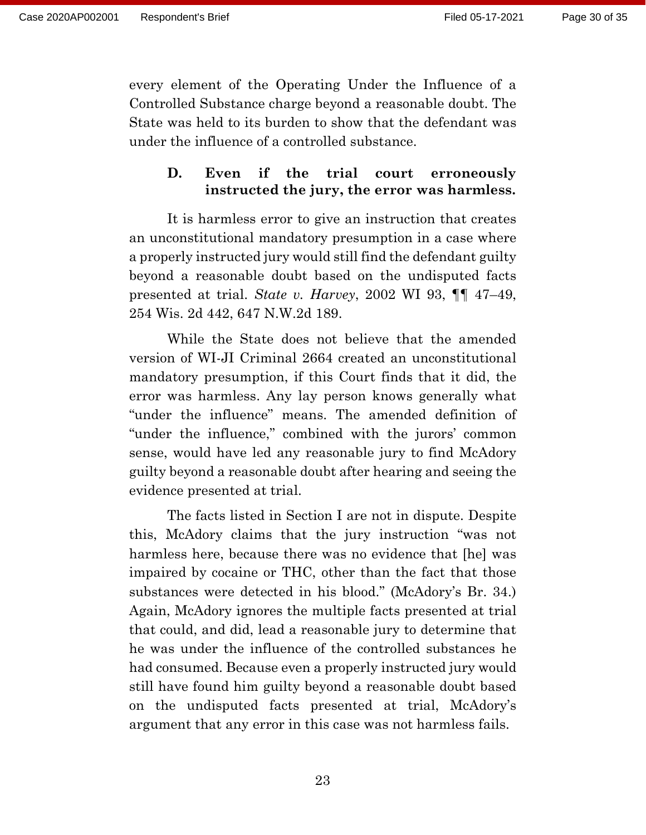every element of the Operating Under the Influence of a Controlled Substance charge beyond a reasonable doubt. The State was held to its burden to show that the defendant was under the influence of a controlled substance.

### **D. Even if the trial court erroneously instructed the jury, the error was harmless.**

It is harmless error to give an instruction that creates an unconstitutional mandatory presumption in a case where a properly instructed jury would still find the defendant guilty beyond a reasonable doubt based on the undisputed facts presented at trial. *State v. Harvey*, 2002 WI 93, ¶¶ 47–49, 254 Wis. 2d 442, 647 N.W.2d 189.

While the State does not believe that the amended version of WI-JI Criminal 2664 created an unconstitutional mandatory presumption, if this Court finds that it did, the error was harmless. Any lay person knows generally what "under the influence" means. The amended definition of "under the influence," combined with the jurors' common sense, would have led any reasonable jury to find McAdory guilty beyond a reasonable doubt after hearing and seeing the evidence presented at trial.

The facts listed in Section I are not in dispute. Despite this, McAdory claims that the jury instruction "was not harmless here, because there was no evidence that [he] was impaired by cocaine or THC, other than the fact that those substances were detected in his blood." (McAdory's Br. 34.) Again, McAdory ignores the multiple facts presented at trial that could, and did, lead a reasonable jury to determine that he was under the influence of the controlled substances he had consumed. Because even a properly instructed jury would still have found him guilty beyond a reasonable doubt based on the undisputed facts presented at trial, McAdory's argument that any error in this case was not harmless fails.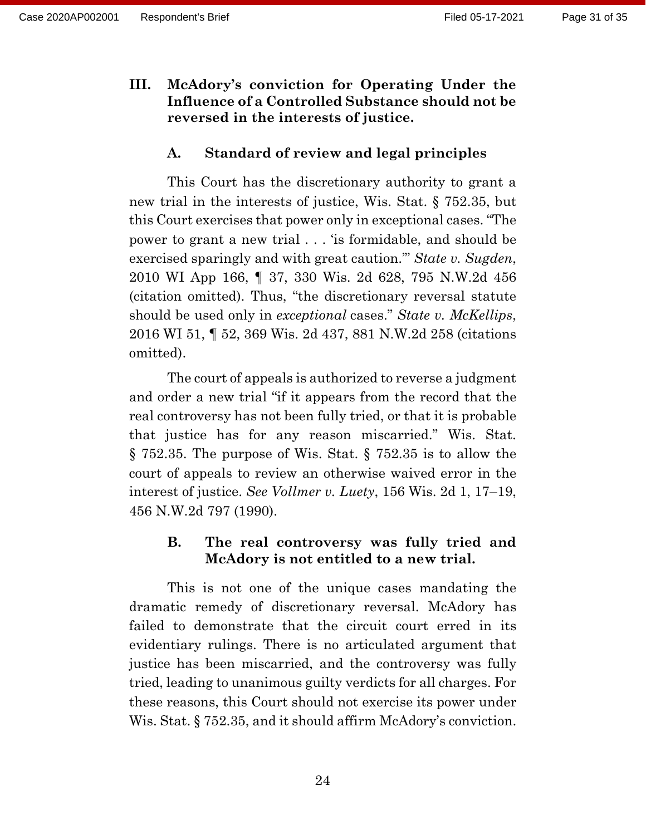**III. McAdory's conviction for Operating Under the Influence of a Controlled Substance should not be reversed in the interests of justice.**

#### **A. Standard of review and legal principles**

This Court has the discretionary authority to grant a new trial in the interests of justice, Wis. Stat. § 752.35, but this Court exercises that power only in exceptional cases. "The power to grant a new trial . . . 'is formidable, and should be exercised sparingly and with great caution.'" *State v. Sugden*, 2010 WI App 166, ¶ 37, 330 Wis. 2d 628, 795 N.W.2d 456 (citation omitted). Thus, "the discretionary reversal statute should be used only in *exceptional* cases." *State v. McKellips*, 2016 WI 51, ¶ 52, 369 Wis. 2d 437, 881 N.W.2d 258 (citations omitted).

The court of appeals is authorized to reverse a judgment and order a new trial "if it appears from the record that the real controversy has not been fully tried, or that it is probable that justice has for any reason miscarried." Wis. Stat. § 752.35. The purpose of Wis. Stat. § 752.35 is to allow the court of appeals to review an otherwise waived error in the interest of justice. *See Vollmer v. Luety*, 156 Wis. 2d 1, 17–19, 456 N.W.2d 797 (1990).

### **B. The real controversy was fully tried and McAdory is not entitled to a new trial.**

This is not one of the unique cases mandating the dramatic remedy of discretionary reversal. McAdory has failed to demonstrate that the circuit court erred in its evidentiary rulings. There is no articulated argument that justice has been miscarried, and the controversy was fully tried, leading to unanimous guilty verdicts for all charges. For these reasons, this Court should not exercise its power under Wis. Stat. § 752.35, and it should affirm McAdory's conviction.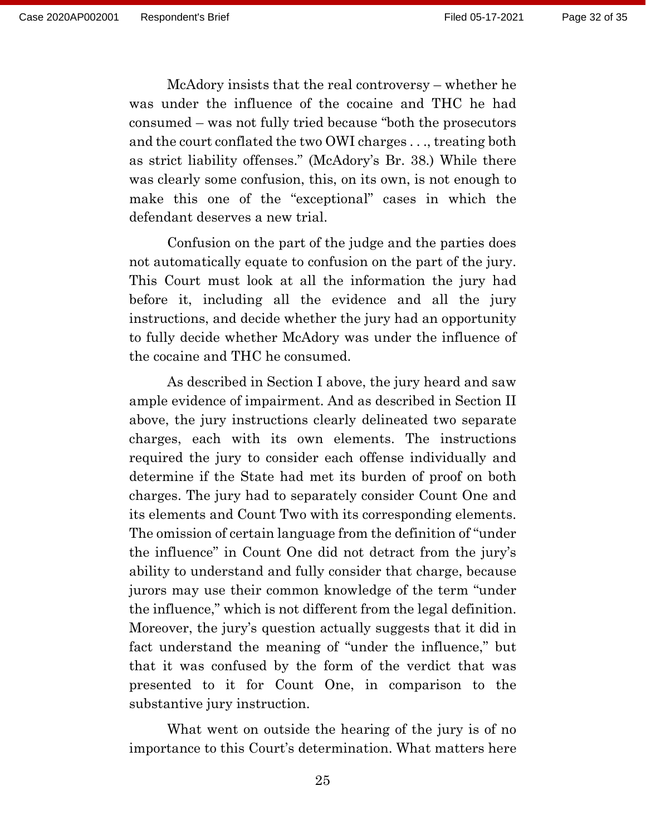McAdory insists that the real controversy – whether he was under the influence of the cocaine and THC he had consumed – was not fully tried because "both the prosecutors and the court conflated the two OWI charges . . ., treating both as strict liability offenses." (McAdory's Br. 38.) While there was clearly some confusion, this, on its own, is not enough to make this one of the "exceptional" cases in which the defendant deserves a new trial.

Confusion on the part of the judge and the parties does not automatically equate to confusion on the part of the jury. This Court must look at all the information the jury had before it, including all the evidence and all the jury instructions, and decide whether the jury had an opportunity to fully decide whether McAdory was under the influence of the cocaine and THC he consumed.

As described in Section I above, the jury heard and saw ample evidence of impairment. And as described in Section II above, the jury instructions clearly delineated two separate charges, each with its own elements. The instructions required the jury to consider each offense individually and determine if the State had met its burden of proof on both charges. The jury had to separately consider Count One and its elements and Count Two with its corresponding elements. The omission of certain language from the definition of "under the influence" in Count One did not detract from the jury's ability to understand and fully consider that charge, because jurors may use their common knowledge of the term "under the influence," which is not different from the legal definition. Moreover, the jury's question actually suggests that it did in fact understand the meaning of "under the influence," but that it was confused by the form of the verdict that was presented to it for Count One, in comparison to the substantive jury instruction.

What went on outside the hearing of the jury is of no importance to this Court's determination. What matters here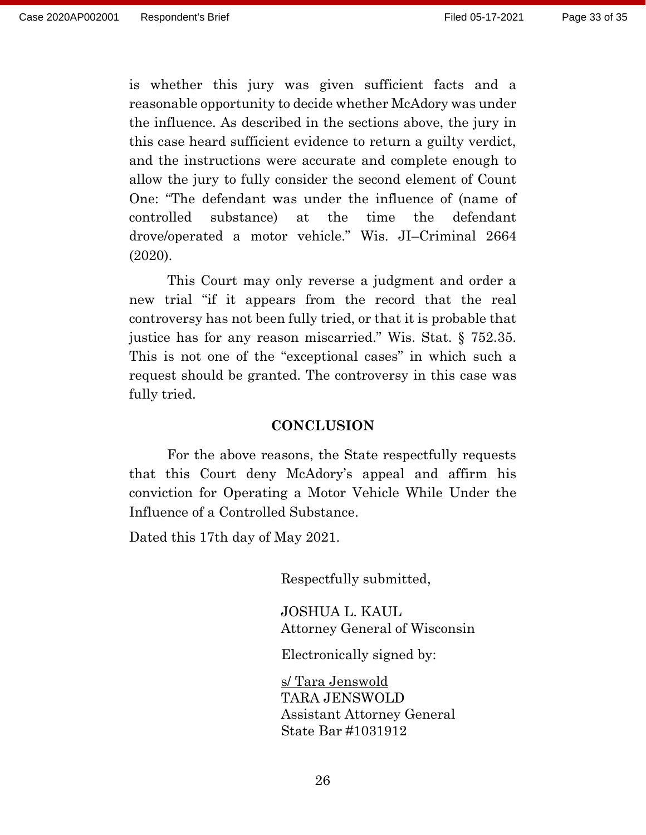is whether this jury was given sufficient facts and a reasonable opportunity to decide whether McAdory was under the influence. As described in the sections above, the jury in this case heard sufficient evidence to return a guilty verdict, and the instructions were accurate and complete enough to allow the jury to fully consider the second element of Count One: "The defendant was under the influence of (name of controlled substance) at the time the defendant drove/operated a motor vehicle." Wis. JI–Criminal 2664 (2020).

This Court may only reverse a judgment and order a new trial "if it appears from the record that the real controversy has not been fully tried, or that it is probable that justice has for any reason miscarried." Wis. Stat. § 752.35. This is not one of the "exceptional cases" in which such a request should be granted. The controversy in this case was fully tried.

#### **CONCLUSION**

For the above reasons, the State respectfully requests that this Court deny McAdory's appeal and affirm his conviction for Operating a Motor Vehicle While Under the Influence of a Controlled Substance.

Dated this 17th day of May 2021.

Respectfully submitted,

JOSHUA L. KAUL Attorney General of Wisconsin

Electronically signed by:

s/ Tara Jenswold TARA JENSWOLD Assistant Attorney General State Bar #1031912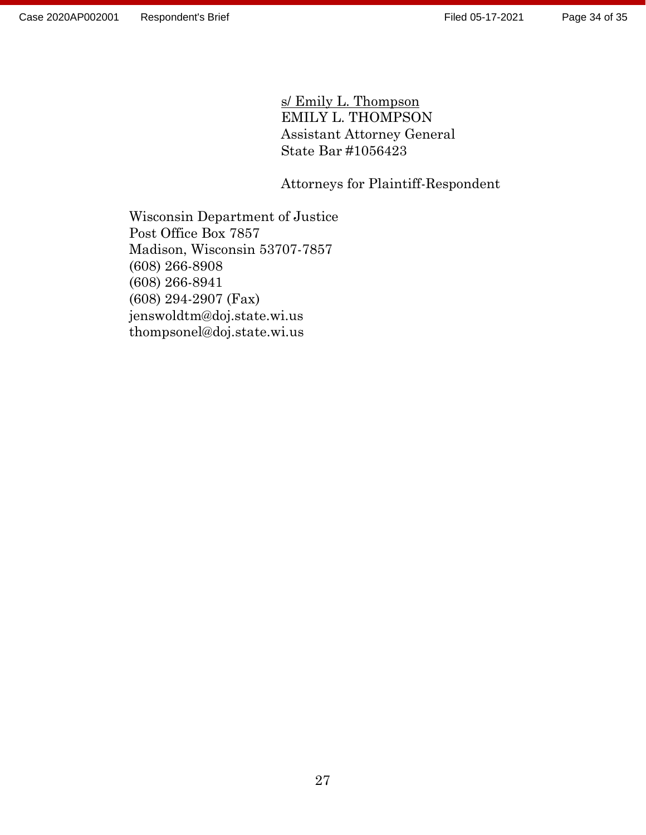s/ Emily L. Thompson EMILY L. THOMPSON Assistant Attorney General State Bar #1056423

Attorneys for Plaintiff-Respondent

Wisconsin Department of Justice Post Office Box 7857 Madison, Wisconsin 53707-7857 (608) 266-8908 (608) 266-8941 (608) 294-2907 (Fax) jenswoldtm@doj.state.wi.us thompsonel@doj.state.wi.us